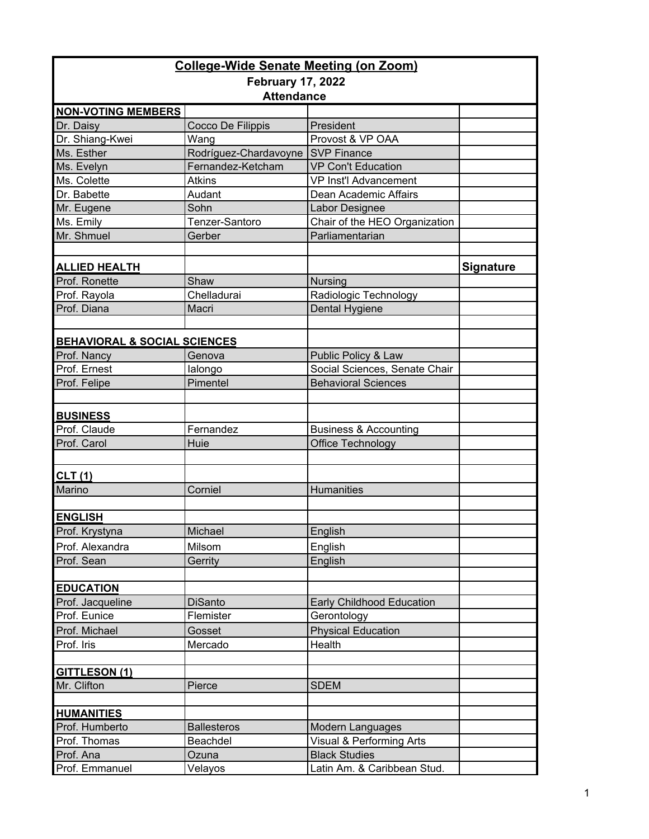| <b>College-Wide Senate Meeting (on Zoom)</b> |                       |                                  |                  |  |  |  |
|----------------------------------------------|-----------------------|----------------------------------|------------------|--|--|--|
| <b>February 17, 2022</b>                     |                       |                                  |                  |  |  |  |
|                                              | <b>Attendance</b>     |                                  |                  |  |  |  |
| <b>NON-VOTING MEMBERS</b>                    |                       |                                  |                  |  |  |  |
| Dr. Daisy                                    | Cocco De Filippis     | President                        |                  |  |  |  |
| Dr. Shiang-Kwei                              | Wang                  | Provost & VP OAA                 |                  |  |  |  |
| Ms. Esther                                   | Rodríguez-Chardavoyne | <b>SVP Finance</b>               |                  |  |  |  |
| Ms. Evelyn                                   | Fernandez-Ketcham     | <b>VP Con't Education</b>        |                  |  |  |  |
| Ms. Colette                                  | <b>Atkins</b>         | <b>VP Inst'l Advancement</b>     |                  |  |  |  |
| Dr. Babette                                  | Audant                | Dean Academic Affairs            |                  |  |  |  |
| Mr. Eugene                                   | Sohn                  | Labor Designee                   |                  |  |  |  |
| Ms. Emily                                    | Tenzer-Santoro        | Chair of the HEO Organization    |                  |  |  |  |
| Mr. Shmuel                                   | Gerber                | Parliamentarian                  |                  |  |  |  |
|                                              |                       |                                  |                  |  |  |  |
| <b>ALLIED HEALTH</b>                         |                       |                                  | <b>Signature</b> |  |  |  |
| Prof. Ronette                                | Shaw                  | Nursing                          |                  |  |  |  |
| Prof. Rayola                                 | Chelladurai           | Radiologic Technology            |                  |  |  |  |
| Prof. Diana                                  | Macri                 | Dental Hygiene                   |                  |  |  |  |
|                                              |                       |                                  |                  |  |  |  |
|                                              |                       |                                  |                  |  |  |  |
| <b>BEHAVIORAL &amp; SOCIAL SCIENCES</b>      |                       |                                  |                  |  |  |  |
| Prof. Nancy                                  | Genova                | Public Policy & Law              |                  |  |  |  |
| Prof. Ernest                                 | lalongo               | Social Sciences, Senate Chair    |                  |  |  |  |
| Prof. Felipe                                 | Pimentel              | <b>Behavioral Sciences</b>       |                  |  |  |  |
|                                              |                       |                                  |                  |  |  |  |
| <b>BUSINESS</b>                              |                       |                                  |                  |  |  |  |
| Prof. Claude                                 | Fernandez             | <b>Business &amp; Accounting</b> |                  |  |  |  |
| Prof. Carol                                  | Huie                  | Office Technology                |                  |  |  |  |
|                                              |                       |                                  |                  |  |  |  |
| CLT(1)                                       |                       |                                  |                  |  |  |  |
| Marino                                       | Corniel               | <b>Humanities</b>                |                  |  |  |  |
|                                              |                       |                                  |                  |  |  |  |
| <b>ENGLISH</b>                               |                       |                                  |                  |  |  |  |
| Prof. Krystyna                               | Michael               | English                          |                  |  |  |  |
| Prof. Alexandra                              | Milsom                | English                          |                  |  |  |  |
| Prof. Sean                                   | Gerrity               | English                          |                  |  |  |  |
|                                              |                       |                                  |                  |  |  |  |
| <b>EDUCATION</b>                             |                       |                                  |                  |  |  |  |
| Prof. Jacqueline                             | <b>DiSanto</b>        | Early Childhood Education        |                  |  |  |  |
| Prof. Eunice                                 | Flemister             | Gerontology                      |                  |  |  |  |
| Prof. Michael                                |                       | <b>Physical Education</b>        |                  |  |  |  |
|                                              | Gosset<br>Mercado     | Health                           |                  |  |  |  |
| Prof. Iris                                   |                       |                                  |                  |  |  |  |
|                                              |                       |                                  |                  |  |  |  |
| <b>GITTLESON (1)</b><br>Mr. Clifton          |                       |                                  |                  |  |  |  |
|                                              | Pierce                | <b>SDEM</b>                      |                  |  |  |  |
| <b>HUMANITIES</b>                            |                       |                                  |                  |  |  |  |
| Prof. Humberto                               | <b>Ballesteros</b>    | Modern Languages                 |                  |  |  |  |
| Prof. Thomas                                 | Beachdel              | Visual & Performing Arts         |                  |  |  |  |
| Prof. Ana                                    | Ozuna                 | <b>Black Studies</b>             |                  |  |  |  |
| Prof. Emmanuel                               | Velayos               | Latin Am. & Caribbean Stud.      |                  |  |  |  |
|                                              |                       |                                  |                  |  |  |  |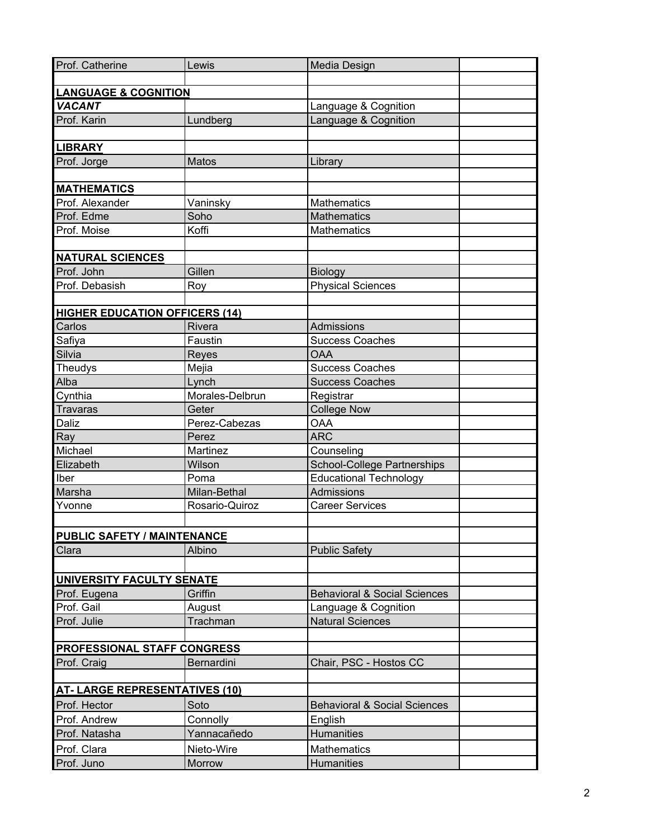| Prof. Catherine                       | Lewis           | Media Design                            |  |  |  |
|---------------------------------------|-----------------|-----------------------------------------|--|--|--|
|                                       |                 |                                         |  |  |  |
| <b>LANGUAGE &amp; COGNITION</b>       |                 |                                         |  |  |  |
| <b>VACANT</b>                         |                 | Language & Cognition                    |  |  |  |
| Prof. Karin                           | Lundberg        | Language & Cognition                    |  |  |  |
|                                       |                 |                                         |  |  |  |
| <b>LIBRARY</b>                        |                 |                                         |  |  |  |
| Prof. Jorge                           | Matos           | Library                                 |  |  |  |
|                                       |                 |                                         |  |  |  |
| <b>MATHEMATICS</b>                    |                 |                                         |  |  |  |
| Prof. Alexander                       | Vaninsky        | Mathematics                             |  |  |  |
| Prof. Edme                            | Soho            | <b>Mathematics</b>                      |  |  |  |
| Prof. Moise                           | Koffi           | Mathematics                             |  |  |  |
|                                       |                 |                                         |  |  |  |
| <b>NATURAL SCIENCES</b>               |                 |                                         |  |  |  |
| Prof. John                            | Gillen          | Biology                                 |  |  |  |
| Prof. Debasish                        | Roy             | <b>Physical Sciences</b>                |  |  |  |
|                                       |                 |                                         |  |  |  |
| <b>HIGHER EDUCATION OFFICERS (14)</b> |                 |                                         |  |  |  |
| Carlos                                | Rivera          | Admissions                              |  |  |  |
| Safiya                                | Faustin         | <b>Success Coaches</b>                  |  |  |  |
| Silvia                                | Reyes           | <b>OAA</b>                              |  |  |  |
| Theudys                               | Mejia           | <b>Success Coaches</b>                  |  |  |  |
| Alba                                  | Lynch           | <b>Success Coaches</b>                  |  |  |  |
| Cynthia                               | Morales-Delbrun | Registrar                               |  |  |  |
| Travaras                              | Geter           | <b>College Now</b>                      |  |  |  |
| Daliz                                 | Perez-Cabezas   | <b>OAA</b>                              |  |  |  |
| Ray                                   | Perez           | <b>ARC</b>                              |  |  |  |
| Michael                               | Martinez        | Counseling                              |  |  |  |
| Elizabeth                             | Wilson          | <b>School-College Partnerships</b>      |  |  |  |
| Iber                                  | Poma            | <b>Educational Technology</b>           |  |  |  |
| Marsha                                | Milan-Bethal    | Admissions                              |  |  |  |
| Yvonne                                | Rosario-Quiroz  | <b>Career Services</b>                  |  |  |  |
|                                       |                 |                                         |  |  |  |
| <b>PUBLIC SAFETY / MAINTENANCE</b>    |                 |                                         |  |  |  |
| Clara                                 | Albino          | <b>Public Safety</b>                    |  |  |  |
|                                       |                 |                                         |  |  |  |
| UNIVERSITY FACULTY SENATE             |                 |                                         |  |  |  |
| Prof. Eugena                          | Griffin         | <b>Behavioral &amp; Social Sciences</b> |  |  |  |
| Prof. Gail                            | August          | Language & Cognition                    |  |  |  |
| Prof. Julie                           | Trachman        | <b>Natural Sciences</b>                 |  |  |  |
|                                       |                 |                                         |  |  |  |
| <b>PROFESSIONAL STAFF CONGRESS</b>    |                 |                                         |  |  |  |
| Prof. Craig                           | Bernardini      | Chair, PSC - Hostos CC                  |  |  |  |
|                                       |                 |                                         |  |  |  |
| <b>AT-LARGE REPRESENTATIVES (10)</b>  |                 |                                         |  |  |  |
| Prof. Hector                          | Soto            | <b>Behavioral &amp; Social Sciences</b> |  |  |  |
| Prof. Andrew                          | Connolly        | English                                 |  |  |  |
| Prof. Natasha                         | Yannacañedo     | <b>Humanities</b>                       |  |  |  |
| Prof. Clara                           | Nieto-Wire      | <b>Mathematics</b>                      |  |  |  |
| Prof. Juno                            | Morrow          | Humanities                              |  |  |  |
|                                       |                 |                                         |  |  |  |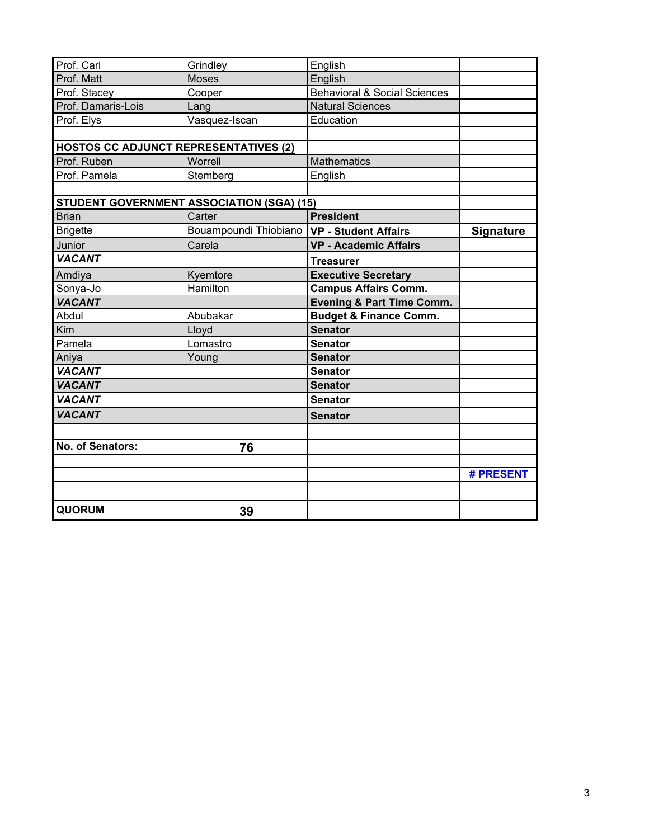| Prof. Carl                                       | Grindley              | English                                 |                  |
|--------------------------------------------------|-----------------------|-----------------------------------------|------------------|
| Prof. Matt                                       | <b>Moses</b>          | English                                 |                  |
| Prof. Stacey                                     | Cooper                | <b>Behavioral &amp; Social Sciences</b> |                  |
| Prof. Damaris-Lois                               | Lang                  | <b>Natural Sciences</b>                 |                  |
| Prof. Elys                                       | Vasquez-Iscan         | Education                               |                  |
|                                                  |                       |                                         |                  |
| <b>HOSTOS CC ADJUNCT REPRESENTATIVES (2)</b>     |                       |                                         |                  |
| Prof. Ruben                                      | Worrell               | <b>Mathematics</b>                      |                  |
| Prof. Pamela                                     | Stemberg              | English                                 |                  |
|                                                  |                       |                                         |                  |
| <b>STUDENT GOVERNMENT ASSOCIATION (SGA) (15)</b> |                       |                                         |                  |
| <b>Brian</b>                                     | Carter                | <b>President</b>                        |                  |
| <b>Brigette</b>                                  | Bouampoundi Thiobiano | <b>VP - Student Affairs</b>             | <b>Signature</b> |
| Junior                                           | Carela                | <b>VP - Academic Affairs</b>            |                  |
| <b>VACANT</b>                                    |                       | <b>Treasurer</b>                        |                  |
| Amdiya                                           | Kyemtore              | <b>Executive Secretary</b>              |                  |
| Sonya-Jo                                         | Hamilton              | <b>Campus Affairs Comm.</b>             |                  |
| <b>VACANT</b>                                    |                       | <b>Evening &amp; Part Time Comm.</b>    |                  |
| Abdul                                            | Abubakar              | <b>Budget &amp; Finance Comm.</b>       |                  |
| Kim                                              | Lloyd                 | <b>Senator</b>                          |                  |
| Pamela                                           | Lomastro              | <b>Senator</b>                          |                  |
| Aniya                                            | Young                 | <b>Senator</b>                          |                  |
| <b>VACANT</b>                                    |                       | <b>Senator</b>                          |                  |
| <b>VACANT</b>                                    |                       | <b>Senator</b>                          |                  |
| <b>VACANT</b>                                    |                       | <b>Senator</b>                          |                  |
| <b>VACANT</b>                                    |                       | <b>Senator</b>                          |                  |
|                                                  |                       |                                         |                  |
| No. of Senators:                                 | 76                    |                                         |                  |
|                                                  |                       |                                         | # PRESENT        |
|                                                  |                       |                                         |                  |
|                                                  |                       |                                         |                  |
| <b>QUORUM</b>                                    | 39                    |                                         |                  |